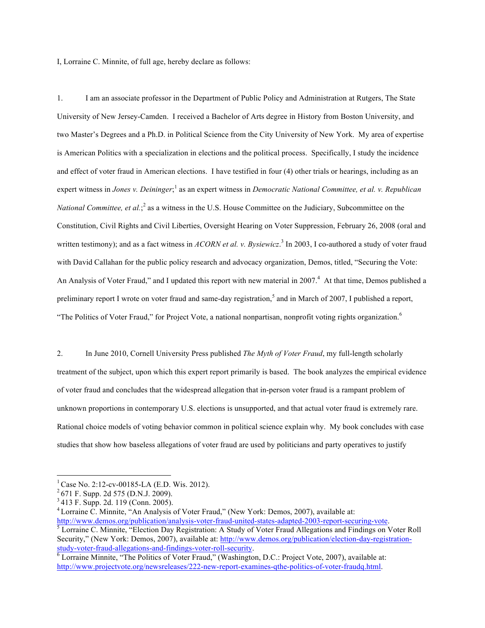I, Lorraine C. Minnite, of full age, hereby declare as follows:

1. I am an associate professor in the Department of Public Policy and Administration at Rutgers, The State University of New Jersey-Camden. I received a Bachelor of Arts degree in History from Boston University, and two Master's Degrees and a Ph.D. in Political Science from the City University of New York. My area of expertise is American Politics with a specialization in elections and the political process. Specifically, I study the incidence and effect of voter fraud in American elections. I have testified in four (4) other trials or hearings, including as an expert witness in *Jones v. Deininger*;<sup>1</sup> as an expert witness in *Democratic National Committee, et al. v. Republican National Committee, et al.*;<sup>2</sup> as a witness in the U.S. House Committee on the Judiciary, Subcommittee on the Constitution, Civil Rights and Civil Liberties, Oversight Hearing on Voter Suppression, February 26, 2008 (oral and written testimony); and as a fact witness in *ACORN et al. v. Bysiewicz*. <sup>3</sup> In 2003, I co-authored a study of voter fraud with David Callahan for the public policy research and advocacy organization, Demos, titled, "Securing the Vote: An Analysis of Voter Fraud," and I updated this report with new material in 2007.<sup>4</sup> At that time, Demos published a preliminary report I wrote on voter fraud and same-day registration,<sup>5</sup> and in March of 2007, I published a report, "The Politics of Voter Fraud," for Project Vote, a national nonpartisan, nonprofit voting rights organization.<sup>6</sup>

2. In June 2010, Cornell University Press published *The Myth of Voter Fraud*, my full-length scholarly treatment of the subject, upon which this expert report primarily is based. The book analyzes the empirical evidence of voter fraud and concludes that the widespread allegation that in-person voter fraud is a rampant problem of unknown proportions in contemporary U.S. elections is unsupported, and that actual voter fraud is extremely rare. Rational choice models of voting behavior common in political science explain why. My book concludes with case studies that show how baseless allegations of voter fraud are used by politicians and party operatives to justify

http://www.demos.org/publication/analysis-voter-fraud-united-states-adapted-2003-report-securing-vote.<br><sup>5</sup> Lorraine C. Minnite, "Election Day Registration: A Study of Voter Fraud Allegations and Findings on Voter Roll

<sup>&</sup>lt;sup>1</sup> Case No. 2:12-cv-00185-LA (E.D. Wis. 2012). <sup>2</sup> 671 F. Supp. 2d 575 (D.N.J. 2009).

<sup>3</sup> 413 F. Supp. 2d. 119 (Conn. 2005).

<sup>&</sup>lt;sup>4</sup> Lorraine C. Minnite, "An Analysis of Voter Fraud," (New York: Demos, 2007), available at:

Security," (New York: Demos, 2007), available at: http://www.demos.org/publication/election-day-registrationstudy-voter-fraud-allegations-and-findings-voter-roll-security.<br>
<sup>6</sup> Lorraine Minnite, "The Politics of Voter Fraud," (Washington, D.C.: Project Vote, 2007), available at:

http://www.projectvote.org/newsreleases/222-new-report-examines-qthe-politics-of-voter-fraudq.html.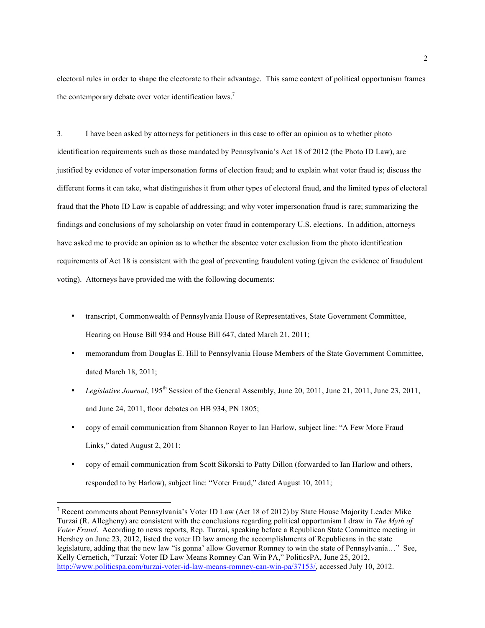electoral rules in order to shape the electorate to their advantage. This same context of political opportunism frames the contemporary debate over voter identification laws.<sup>7</sup>

3. I have been asked by attorneys for petitioners in this case to offer an opinion as to whether photo identification requirements such as those mandated by Pennsylvania's Act 18 of 2012 (the Photo ID Law), are justified by evidence of voter impersonation forms of election fraud; and to explain what voter fraud is; discuss the different forms it can take, what distinguishes it from other types of electoral fraud, and the limited types of electoral fraud that the Photo ID Law is capable of addressing; and why voter impersonation fraud is rare; summarizing the findings and conclusions of my scholarship on voter fraud in contemporary U.S. elections. In addition, attorneys have asked me to provide an opinion as to whether the absentee voter exclusion from the photo identification requirements of Act 18 is consistent with the goal of preventing fraudulent voting (given the evidence of fraudulent voting). Attorneys have provided me with the following documents:

- transcript, Commonwealth of Pennsylvania House of Representatives, State Government Committee, Hearing on House Bill 934 and House Bill 647, dated March 21, 2011;
- memorandum from Douglas E. Hill to Pennsylvania House Members of the State Government Committee, dated March 18, 2011;
- *Legislative Journal*, 195th Session of the General Assembly, June 20, 2011, June 21, 2011, June 23, 2011, and June 24, 2011, floor debates on HB 934, PN 1805;
- copy of email communication from Shannon Royer to Ian Harlow, subject line: "A Few More Fraud Links," dated August 2, 2011;
- copy of email communication from Scott Sikorski to Patty Dillon (forwarded to Ian Harlow and others, responded to by Harlow), subject line: "Voter Fraud," dated August 10, 2011;

<sup>&</sup>lt;sup>7</sup> Recent comments about Pennsylvania's Voter ID Law (Act 18 of 2012) by State House Majority Leader Mike Turzai (R. Allegheny) are consistent with the conclusions regarding political opportunism I draw in *The Myth of Voter Fraud*. According to news reports, Rep. Turzai, speaking before a Republican State Committee meeting in Hershey on June 23, 2012, listed the voter ID law among the accomplishments of Republicans in the state legislature, adding that the new law "is gonna' allow Governor Romney to win the state of Pennsylvania…" See, Kelly Cernetich, "Turzai: Voter ID Law Means Romney Can Win PA," PoliticsPA, June 25, 2012, http://www.politicspa.com/turzai-voter-id-law-means-romney-can-win-pa/37153/, accessed July 10, 2012.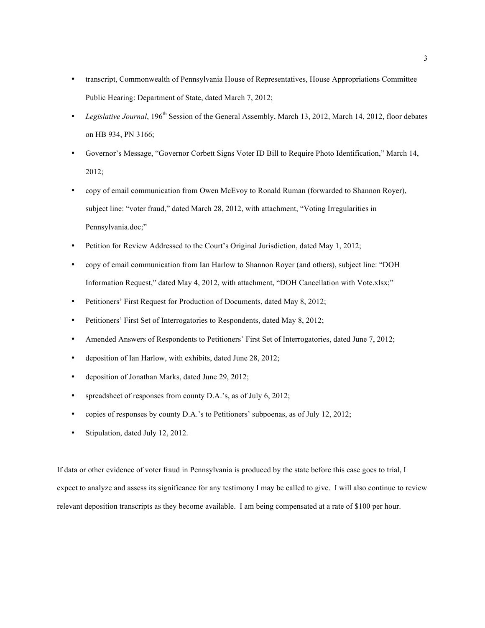- transcript, Commonwealth of Pennsylvania House of Representatives, House Appropriations Committee Public Hearing: Department of State, dated March 7, 2012;
- *Legislative Journal*, 196th Session of the General Assembly, March 13, 2012, March 14, 2012, floor debates on HB 934, PN 3166;
- Governor's Message, "Governor Corbett Signs Voter ID Bill to Require Photo Identification," March 14, 2012;
- copy of email communication from Owen McEvoy to Ronald Ruman (forwarded to Shannon Royer), subject line: "voter fraud," dated March 28, 2012, with attachment, "Voting Irregularities in Pennsylvania.doc;"
- Petition for Review Addressed to the Court's Original Jurisdiction, dated May 1, 2012;
- copy of email communication from Ian Harlow to Shannon Royer (and others), subject line: "DOH Information Request," dated May 4, 2012, with attachment, "DOH Cancellation with Vote.xlsx;"
- Petitioners' First Request for Production of Documents, dated May 8, 2012;
- Petitioners' First Set of Interrogatories to Respondents, dated May 8, 2012;
- Amended Answers of Respondents to Petitioners' First Set of Interrogatories, dated June 7, 2012;
- deposition of Ian Harlow, with exhibits, dated June 28, 2012;
- deposition of Jonathan Marks, dated June 29, 2012;
- spreadsheet of responses from county D.A.'s, as of July 6, 2012;
- copies of responses by county D.A.'s to Petitioners' subpoenas, as of July 12, 2012;
- Stipulation, dated July 12, 2012.

If data or other evidence of voter fraud in Pennsylvania is produced by the state before this case goes to trial, I expect to analyze and assess its significance for any testimony I may be called to give. I will also continue to review relevant deposition transcripts as they become available. I am being compensated at a rate of \$100 per hour.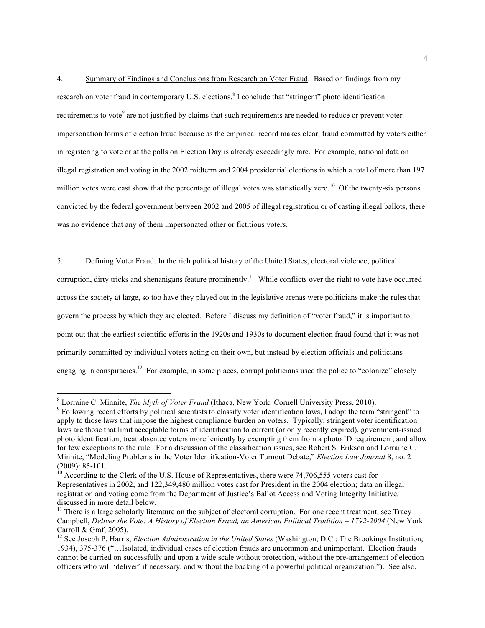4. Summary of Findings and Conclusions from Research on Voter Fraud. Based on findings from my research on voter fraud in contemporary U.S. elections,<sup>8</sup> I conclude that "stringent" photo identification requirements to vote<sup>9</sup> are not justified by claims that such requirements are needed to reduce or prevent voter impersonation forms of election fraud because as the empirical record makes clear, fraud committed by voters either in registering to vote or at the polls on Election Day is already exceedingly rare. For example, national data on illegal registration and voting in the 2002 midterm and 2004 presidential elections in which a total of more than 197 million votes were cast show that the percentage of illegal votes was statistically zero.<sup>10</sup> Of the twenty-six persons convicted by the federal government between 2002 and 2005 of illegal registration or of casting illegal ballots, there was no evidence that any of them impersonated other or fictitious voters.

5. Defining Voter Fraud. In the rich political history of the United States, electoral violence, political corruption, dirty tricks and shenanigans feature prominently.<sup>11</sup> While conflicts over the right to vote have occurred across the society at large, so too have they played out in the legislative arenas were politicians make the rules that govern the process by which they are elected. Before I discuss my definition of "voter fraud," it is important to point out that the earliest scientific efforts in the 1920s and 1930s to document election fraud found that it was not primarily committed by individual voters acting on their own, but instead by election officials and politicians engaging in conspiracies.<sup>12</sup> For example, in some places, corrupt politicians used the police to "colonize" closely

 $^8$  Lorraine C. Minnite, *The Myth of Voter Fraud* (Ithaca, New York: Cornell University Press, 2010).<br><sup>9</sup> Following recent efforts by political scientists to classify voter identification laws, I adopt the term "stringe apply to those laws that impose the highest compliance burden on voters. Typically, stringent voter identification laws are those that limit acceptable forms of identification to current (or only recently expired), government-issued photo identification, treat absentee voters more leniently by exempting them from a photo ID requirement, and allow for few exceptions to the rule. For a discussion of the classification issues, see Robert S. Erikson and Lorraine C. Minnite, "Modeling Problems in the Voter Identification-Voter Turnout Debate," *Election Law Journal* 8, no. 2

<sup>(2009): 85-101.&</sup>lt;br><sup>10</sup> According to the Clerk of the U.S. House of Representatives, there were 74,706,555 voters cast for Representatives in 2002, and 122,349,480 million votes cast for President in the 2004 election; data on illegal registration and voting come from the Department of Justice's Ballot Access and Voting Integrity Initiative, discussed in more detail below.

 $11$  There is a large scholarly literature on the subject of electoral corruption. For one recent treatment, see Tracy Campbell, *Deliver the Vote: A History of Election Fraud, an American Political Tradition – 1792-2004* (New York: Carroll & Graf, 2005).

<sup>&</sup>lt;sup>12</sup> See Joseph P. Harris, *Election Administration in the United States* (Washington, D.C.: The Brookings Institution, 1934), 375-376 ("…Isolated, individual cases of election frauds are uncommon and unimportant. Election frauds cannot be carried on successfully and upon a wide scale without protection, without the pre-arrangement of election officers who will 'deliver' if necessary, and without the backing of a powerful political organization."). See also,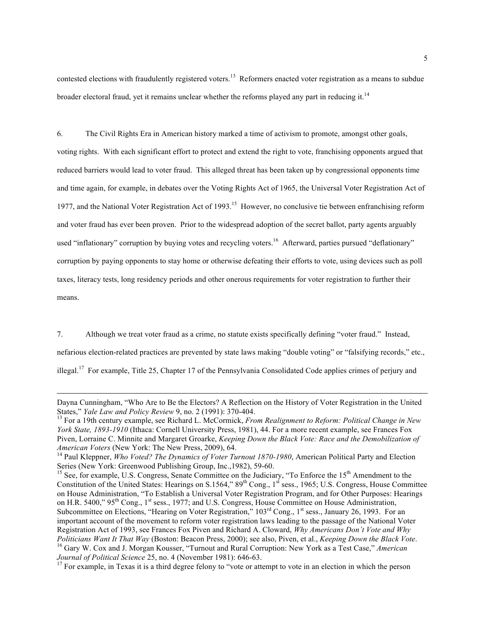contested elections with fraudulently registered voters.<sup>13</sup> Reformers enacted voter registration as a means to subdue broader electoral fraud, yet it remains unclear whether the reforms played any part in reducing it.<sup>14</sup>

6. The Civil Rights Era in American history marked a time of activism to promote, amongst other goals, voting rights. With each significant effort to protect and extend the right to vote, franchising opponents argued that reduced barriers would lead to voter fraud. This alleged threat has been taken up by congressional opponents time and time again, for example, in debates over the Voting Rights Act of 1965, the Universal Voter Registration Act of 1977, and the National Voter Registration Act of 1993.<sup>15</sup> However, no conclusive tie between enfranchising reform and voter fraud has ever been proven. Prior to the widespread adoption of the secret ballot, party agents arguably used "inflationary" corruption by buying votes and recycling voters.<sup>16</sup> Afterward, parties pursued "deflationary" corruption by paying opponents to stay home or otherwise defeating their efforts to vote, using devices such as poll taxes, literacy tests, long residency periods and other onerous requirements for voter registration to further their means.

7. Although we treat voter fraud as a crime, no statute exists specifically defining "voter fraud." Instead, nefarious election-related practices are prevented by state laws making "double voting" or "falsifying records," etc., illegal.17 For example, Title 25, Chapter 17 of the Pennsylvania Consolidated Code applies crimes of perjury and

Dayna Cunningham, "Who Are to Be the Electors? A Reflection on the History of Voter Registration in the United<br>States," Yale Law and Policy Review 9, no. 2 (1991): 370-404.

<sup>&</sup>lt;sup>13</sup> For a 19th century example, see Richard L. McCormick, *From Realignment to Reform: Political Change in New York State, 1893-1910* (Ithaca: Cornell University Press, 1981), 44. For a more recent example, see Frances Fox Piven, Lorraine C. Minnite and Margaret Groarke, *Keeping Down the Black Vote: Race and the Demobilization of* 

*American Voters* (New York: The New Press, 2009), 64.<br><sup>14</sup> Paul Kleppner, *Who Voted? The Dynamics of Voter Turnout 1870-1980*, American Political Party and Election<br>Series (New York: Greenwood Publishing Group, Inc., 198

 $\frac{15}{15}$  See, for example, U.S. Congress, Senate Committee on the Judiciary, "To Enforce the 15<sup>th</sup> Amendment to the Constitution of the United States: Hearings on S.1564,"  $89^{th}$  Cong., 1st sess., 1965; U.S. Congress, House Committee on House Administration, "To Establish a Universal Voter Registration Program, and for Other Purposes: Hearings on H.R. 5400," 95<sup>th</sup> Cong., 1<sup>st</sup> sess., 1977; and U.S. Congress, House Committee on House Administration, Subcommittee on Elections, "Hearing on Voter Registration," 103<sup>rd</sup> Cong., 1<sup>st</sup> sess., January 26, 1993. For an important account of the movement to reform voter registration laws leading to the passage of the National Voter Registration Act of 1993, see Frances Fox Piven and Richard A. Cloward, *Why Americans Don't Vote and Why*  Politicians Want It That Way (Boston: Beacon Press, 2000); see also, Piven, et al., *Keeping Down the Black Vote*.<br><sup>16</sup> Gary W. Cox and J. Morgan Kousser, "Turnout and Rural Corruption: New York as a Test Case," American J

<sup>&</sup>lt;sup>17</sup> For example, in Texas it is a third degree felony to "vote or attempt to vote in an election in which the person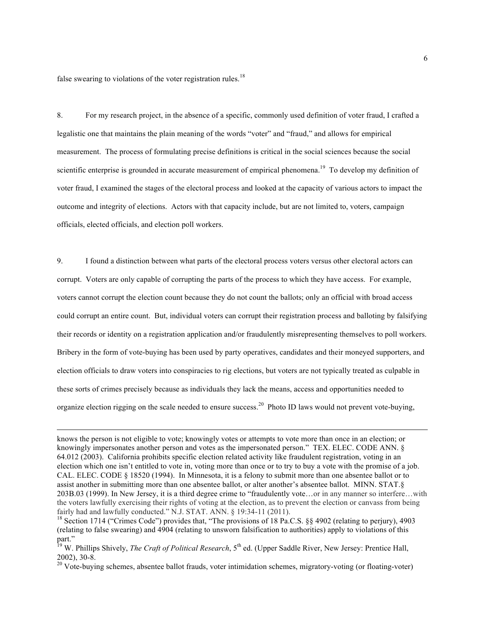false swearing to violations of the voter registration rules.<sup>18</sup>

8. For my research project, in the absence of a specific, commonly used definition of voter fraud, I crafted a legalistic one that maintains the plain meaning of the words "voter" and "fraud," and allows for empirical measurement. The process of formulating precise definitions is critical in the social sciences because the social scientific enterprise is grounded in accurate measurement of empirical phenomena.<sup>19</sup> To develop my definition of voter fraud, I examined the stages of the electoral process and looked at the capacity of various actors to impact the outcome and integrity of elections. Actors with that capacity include, but are not limited to, voters, campaign officials, elected officials, and election poll workers.

9. I found a distinction between what parts of the electoral process voters versus other electoral actors can corrupt. Voters are only capable of corrupting the parts of the process to which they have access. For example, voters cannot corrupt the election count because they do not count the ballots; only an official with broad access could corrupt an entire count. But, individual voters can corrupt their registration process and balloting by falsifying their records or identity on a registration application and/or fraudulently misrepresenting themselves to poll workers. Bribery in the form of vote-buying has been used by party operatives, candidates and their moneyed supporters, and election officials to draw voters into conspiracies to rig elections, but voters are not typically treated as culpable in these sorts of crimes precisely because as individuals they lack the means, access and opportunities needed to organize election rigging on the scale needed to ensure success.20 Photo ID laws would not prevent vote-buying,

knows the person is not eligible to vote; knowingly votes or attempts to vote more than once in an election; or knowingly impersonates another person and votes as the impersonated person." TEX. ELEC. CODE ANN. § 64.012 (2003). California prohibits specific election related activity like fraudulent registration, voting in an election which one isn't entitled to vote in, voting more than once or to try to buy a vote with the promise of a job. CAL. ELEC. CODE § 18520 (1994). In Minnesota, it is a felony to submit more than one absentee ballot or to assist another in submitting more than one absentee ballot, or alter another's absentee ballot. MINN. STAT.§ 203B.03 (1999). In New Jersey, it is a third degree crime to "fraudulently vote…or in any manner so interfere…with the voters lawfully exercising their rights of voting at the election, as to prevent the election or canvass from being fairly had and lawfully conducted." N.J. STAT. ANN.  $\S$  19:34-11 (2011).<br><sup>18</sup> Section 1714 ("Crimes Code") provides that, "The provisions of 18 Pa.C.S.  $\S$ § 4902 (relating to perjury), 4903

<sup>(</sup>relating to false swearing) and 4904 (relating to unsworn falsification to authorities) apply to violations of this part."

<sup>&</sup>lt;sup>19</sup> W. Phillips Shively, *The Craft of Political Research*, 5<sup>th</sup> ed. (Upper Saddle River, New Jersey: Prentice Hall, 2002), 30-8. <sup>20</sup> Vote-buying schemes, absentee ballot frauds, voter intimidation schemes, migratory-voting (or floating-voter)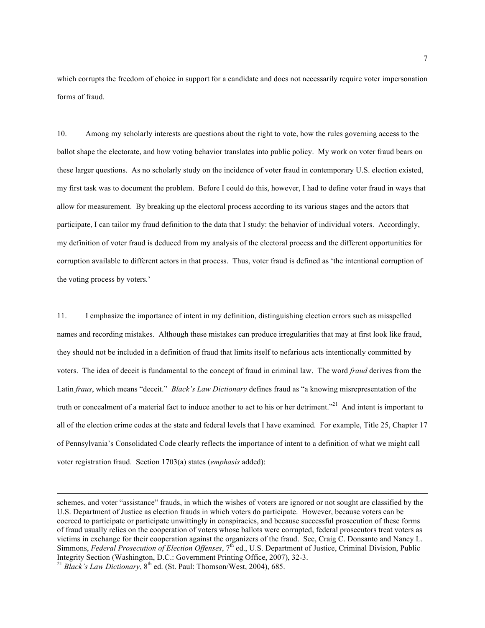which corrupts the freedom of choice in support for a candidate and does not necessarily require voter impersonation forms of fraud.

10. Among my scholarly interests are questions about the right to vote, how the rules governing access to the ballot shape the electorate, and how voting behavior translates into public policy. My work on voter fraud bears on these larger questions. As no scholarly study on the incidence of voter fraud in contemporary U.S. election existed, my first task was to document the problem. Before I could do this, however, I had to define voter fraud in ways that allow for measurement. By breaking up the electoral process according to its various stages and the actors that participate, I can tailor my fraud definition to the data that I study: the behavior of individual voters. Accordingly, my definition of voter fraud is deduced from my analysis of the electoral process and the different opportunities for corruption available to different actors in that process. Thus, voter fraud is defined as 'the intentional corruption of the voting process by voters.'

11. I emphasize the importance of intent in my definition, distinguishing election errors such as misspelled names and recording mistakes. Although these mistakes can produce irregularities that may at first look like fraud, they should not be included in a definition of fraud that limits itself to nefarious acts intentionally committed by voters. The idea of deceit is fundamental to the concept of fraud in criminal law. The word *fraud* derives from the Latin *fraus*, which means "deceit." *Black's Law Dictionary* defines fraud as "a knowing misrepresentation of the truth or concealment of a material fact to induce another to act to his or her detriment."<sup>21</sup> And intent is important to all of the election crime codes at the state and federal levels that I have examined. For example, Title 25, Chapter 17 of Pennsylvania's Consolidated Code clearly reflects the importance of intent to a definition of what we might call voter registration fraud. Section 1703(a) states (*emphasis* added):

 $\overline{a}$ 

schemes, and voter "assistance" frauds, in which the wishes of voters are ignored or not sought are classified by the U.S. Department of Justice as election frauds in which voters do participate. However, because voters can be coerced to participate or participate unwittingly in conspiracies, and because successful prosecution of these forms of fraud usually relies on the cooperation of voters whose ballots were corrupted, federal prosecutors treat voters as victims in exchange for their cooperation against the organizers of the fraud. See, Craig C. Donsanto and Nancy L. Simmons, *Federal Prosecution of Election Offenses*, 7<sup>th</sup> ed., U.S. Department of Justice, Criminal Division, Public Integrity Section (Washington, D.C.: Government Printing Office, 2007), 32-3. 21 *Black's Law Dictionary*, 8th ed. (St. Paul: Thomson/West, 2004), 685.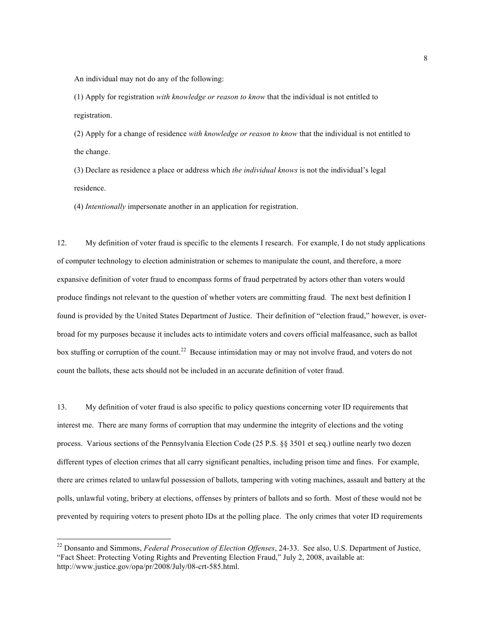An individual may not do any of the following:

(1) Apply for registration *with knowledge or reason to know* that the individual is not entitled to registration.

(2) Apply for a change of residence *with knowledge or reason to know* that the individual is not entitled to the change.

(3) Declare as residence a place or address which *the individual knows* is not the individual's legal residence.

(4) *Intentionally* impersonate another in an application for registration.

12. My definition of voter fraud is specific to the elements I research. For example, I do not study applications of computer technology to election administration or schemes to manipulate the count, and therefore, a more expansive definition of voter fraud to encompass forms of fraud perpetrated by actors other than voters would produce findings not relevant to the question of whether voters are committing fraud. The next best definition I found is provided by the United States Department of Justice. Their definition of "election fraud," however, is overbroad for my purposes because it includes acts to intimidate voters and covers official malfeasance, such as ballot box stuffing or corruption of the count.<sup>22</sup> Because intimidation may or may not involve fraud, and voters do not count the ballots, these acts should not be included in an accurate definition of voter fraud.

13. My definition of voter fraud is also specific to policy questions concerning voter ID requirements that interest me. There are many forms of corruption that may undermine the integrity of elections and the voting process. Various sections of the Pennsylvania Election Code (25 P.S. §§ 3501 et seq.) outline nearly two dozen different types of election crimes that all carry significant penalties, including prison time and fines. For example, there are crimes related to unlawful possession of ballots, tampering with voting machines, assault and battery at the polls, unlawful voting, bribery at elections, offenses by printers of ballots and so forth. Most of these would not be prevented by requiring voters to present photo IDs at the polling place. The only crimes that voter ID requirements

<sup>&</sup>lt;sup>22</sup> Donsanto and Simmons, *Federal Prosecution of Election Offenses*, 24-33. See also, U.S. Department of Justice, "Fact Sheet: Protecting Voting Rights and Preventing Election Fraud," July 2, 2008, available at: http://www.justice.gov/opa/pr/2008/July/08-crt-585.html.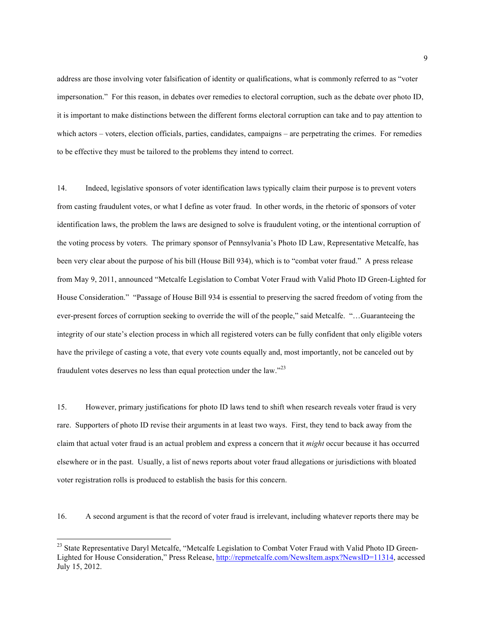address are those involving voter falsification of identity or qualifications, what is commonly referred to as "voter impersonation." For this reason, in debates over remedies to electoral corruption, such as the debate over photo ID, it is important to make distinctions between the different forms electoral corruption can take and to pay attention to which actors – voters, election officials, parties, candidates, campaigns – are perpetrating the crimes. For remedies to be effective they must be tailored to the problems they intend to correct.

14. Indeed, legislative sponsors of voter identification laws typically claim their purpose is to prevent voters from casting fraudulent votes, or what I define as voter fraud. In other words, in the rhetoric of sponsors of voter identification laws, the problem the laws are designed to solve is fraudulent voting, or the intentional corruption of the voting process by voters. The primary sponsor of Pennsylvania's Photo ID Law, Representative Metcalfe, has been very clear about the purpose of his bill (House Bill 934), which is to "combat voter fraud." A press release from May 9, 2011, announced "Metcalfe Legislation to Combat Voter Fraud with Valid Photo ID Green-Lighted for House Consideration." "Passage of House Bill 934 is essential to preserving the sacred freedom of voting from the ever-present forces of corruption seeking to override the will of the people," said Metcalfe. "…Guaranteeing the integrity of our state's election process in which all registered voters can be fully confident that only eligible voters have the privilege of casting a vote, that every vote counts equally and, most importantly, not be canceled out by fraudulent votes deserves no less than equal protection under the law."<sup>23</sup>

15. However, primary justifications for photo ID laws tend to shift when research reveals voter fraud is very rare. Supporters of photo ID revise their arguments in at least two ways. First, they tend to back away from the claim that actual voter fraud is an actual problem and express a concern that it *might* occur because it has occurred elsewhere or in the past. Usually, a list of news reports about voter fraud allegations or jurisdictions with bloated voter registration rolls is produced to establish the basis for this concern.

16. A second argument is that the record of voter fraud is irrelevant, including whatever reports there may be

<sup>&</sup>lt;sup>23</sup> State Representative Daryl Metcalfe, "Metcalfe Legislation to Combat Voter Fraud with Valid Photo ID Green-Lighted for House Consideration," Press Release, http://repmetcalfe.com/NewsItem.aspx?NewsID=11314, accessed July 15, 2012.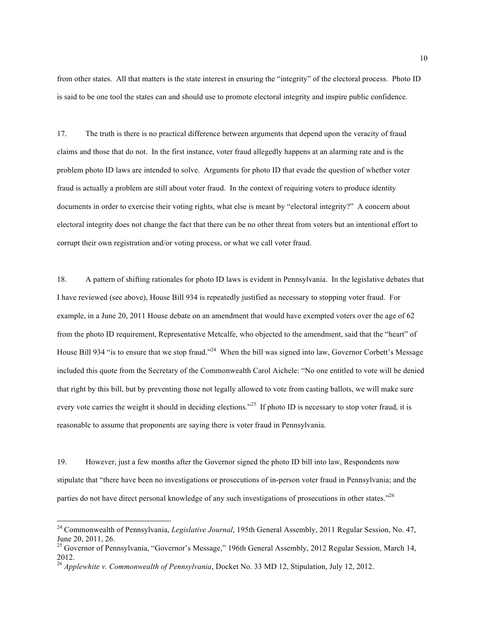from other states. All that matters is the state interest in ensuring the "integrity" of the electoral process. Photo ID is said to be one tool the states can and should use to promote electoral integrity and inspire public confidence.

17. The truth is there is no practical difference between arguments that depend upon the veracity of fraud claims and those that do not. In the first instance, voter fraud allegedly happens at an alarming rate and is the problem photo ID laws are intended to solve. Arguments for photo ID that evade the question of whether voter fraud is actually a problem are still about voter fraud. In the context of requiring voters to produce identity documents in order to exercise their voting rights, what else is meant by "electoral integrity?" A concern about electoral integrity does not change the fact that there can be no other threat from voters but an intentional effort to corrupt their own registration and/or voting process, or what we call voter fraud.

18. A pattern of shifting rationales for photo ID laws is evident in Pennsylvania. In the legislative debates that I have reviewed (see above), House Bill 934 is repeatedly justified as necessary to stopping voter fraud. For example, in a June 20, 2011 House debate on an amendment that would have exempted voters over the age of 62 from the photo ID requirement, Representative Metcalfe, who objected to the amendment, said that the "heart" of House Bill 934 "is to ensure that we stop fraud."<sup>24</sup> When the bill was signed into law, Governor Corbett's Message included this quote from the Secretary of the Commonwealth Carol Aichele: "No one entitled to vote will be denied that right by this bill, but by preventing those not legally allowed to vote from casting ballots, we will make sure every vote carries the weight it should in deciding elections."<sup>25</sup> If photo ID is necessary to stop voter fraud, it is reasonable to assume that proponents are saying there is voter fraud in Pennsylvania.

19. However, just a few months after the Governor signed the photo ID bill into law, Respondents now stipulate that "there have been no investigations or prosecutions of in-person voter fraud in Pennsylvania; and the parties do not have direct personal knowledge of any such investigations of prosecutions in other states."26

 <sup>24</sup> Commonwealth of Pennsylvania, *Legislative Journal*, 195th General Assembly, 2011 Regular Session, No. 47, June 20, 2011, 26.

<sup>&</sup>lt;sup>25</sup> Governor of Pennsylvania, "Governor's Message," 196th General Assembly, 2012 Regular Session, March 14, 2012.

<sup>26</sup> *Applewhite v. Commonwealth of Pennsylvania*, Docket No. 33 MD 12, Stipulation, July 12, 2012.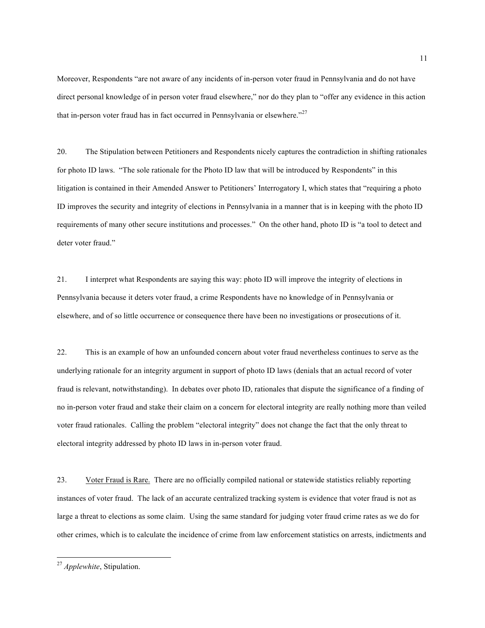Moreover, Respondents "are not aware of any incidents of in-person voter fraud in Pennsylvania and do not have direct personal knowledge of in person voter fraud elsewhere," nor do they plan to "offer any evidence in this action that in-person voter fraud has in fact occurred in Pennsylvania or elsewhere."<sup>27</sup>

20. The Stipulation between Petitioners and Respondents nicely captures the contradiction in shifting rationales for photo ID laws. "The sole rationale for the Photo ID law that will be introduced by Respondents" in this litigation is contained in their Amended Answer to Petitioners' Interrogatory I, which states that "requiring a photo ID improves the security and integrity of elections in Pennsylvania in a manner that is in keeping with the photo ID requirements of many other secure institutions and processes." On the other hand, photo ID is "a tool to detect and deter voter fraud."

21. I interpret what Respondents are saying this way: photo ID will improve the integrity of elections in Pennsylvania because it deters voter fraud, a crime Respondents have no knowledge of in Pennsylvania or elsewhere, and of so little occurrence or consequence there have been no investigations or prosecutions of it.

22. This is an example of how an unfounded concern about voter fraud nevertheless continues to serve as the underlying rationale for an integrity argument in support of photo ID laws (denials that an actual record of voter fraud is relevant, notwithstanding). In debates over photo ID, rationales that dispute the significance of a finding of no in-person voter fraud and stake their claim on a concern for electoral integrity are really nothing more than veiled voter fraud rationales. Calling the problem "electoral integrity" does not change the fact that the only threat to electoral integrity addressed by photo ID laws in in-person voter fraud.

23. Voter Fraud is Rare. There are no officially compiled national or statewide statistics reliably reporting instances of voter fraud. The lack of an accurate centralized tracking system is evidence that voter fraud is not as large a threat to elections as some claim. Using the same standard for judging voter fraud crime rates as we do for other crimes, which is to calculate the incidence of crime from law enforcement statistics on arrests, indictments and

 <sup>27</sup> *Applewhite*, Stipulation.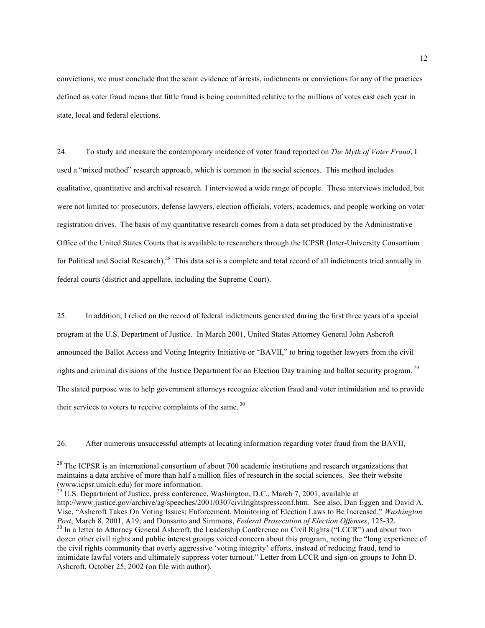convictions, we must conclude that the scant evidence of arrests, indictments or convictions for any of the practices defined as voter fraud means that little fraud is being committed relative to the millions of votes cast each year in state, local and federal elections.

24. To study and measure the contemporary incidence of voter fraud reported on *The Myth of Voter Fraud*, I used a "mixed method" research approach, which is common in the social sciences. This method includes qualitative, quantitative and archival research. I interviewed a wide range of people. These interviews included, but were not limited to: prosecutors, defense lawyers, election officials, voters, academics, and people working on voter registration drives. The basis of my quantitative research comes from a data set produced by the Administrative Office of the United States Courts that is available to researchers through the ICPSR (Inter-University Consortium for Political and Social Research).<sup>28</sup> This data set is a complete and total record of all indictments tried annually in federal courts (district and appellate, including the Supreme Court).

25. In addition, I relied on the record of federal indictments generated during the first three years of a special program at the U.S. Department of Justice. In March 2001, United States Attorney General John Ashcroft announced the Ballot Access and Voting Integrity Initiative or "BAVII," to bring together lawyers from the civil rights and criminal divisions of the Justice Department for an Election Day training and ballot security program. 29 The stated purpose was to help government attorneys recognize election fraud and voter intimidation and to provide their services to voters to receive complaints of the same. 30

26. After numerous unsuccessful attempts at locating information regarding voter fraud from the BAVII,

 $^{29}$  U.S. Department of Justice, press conference, Washington, D.C., March 7, 2001, available at http://www.justice.gov/archive/ag/speeches/2001/0307civilrightspressconf.htm. See also, Dan Eggen and David A. Vise, "Ashcroft Takes On Voting Issues; Enforcement, Monitoring of Election Laws to Be Increased," *Washington*  <sup>30</sup> In a letter to Attorney General Ashcroft, the Leadership Conference on Civil Rights ("LCCR") and about two dozen other civil rights and public interest groups voiced concern about this program, noting the "long experience of the civil rights community that overly aggressive 'voting integrity' efforts, instead of reducing fraud, tend to intimidate lawful voters and ultimately suppress voter turnout." Letter from LCCR and sign-on groups to John D. Ashcroft, October 25, 2002 (on file with author).

<sup>&</sup>lt;sup>28</sup> The ICPSR is an international consortium of about 700 academic institutions and research organizations that maintains a data archive of more than half a million files of research in the social sciences. See their website (www.icpsr.umich.edu) for more information.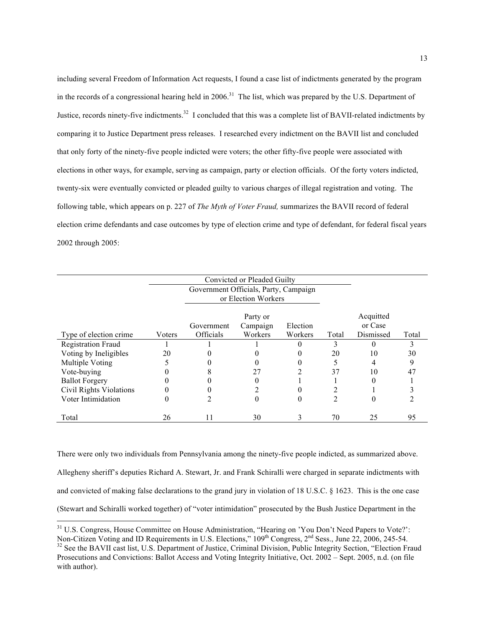including several Freedom of Information Act requests, I found a case list of indictments generated by the program in the records of a congressional hearing held in  $2006$ <sup>31</sup>. The list, which was prepared by the U.S. Department of Justice, records ninety-five indictments.<sup>32</sup> I concluded that this was a complete list of BAVII-related indictments by comparing it to Justice Department press releases. I researched every indictment on the BAVII list and concluded that only forty of the ninety-five people indicted were voters; the other fifty-five people were associated with elections in other ways, for example, serving as campaign, party or election officials. Of the forty voters indicted, twenty-six were eventually convicted or pleaded guilty to various charges of illegal registration and voting. The following table, which appears on p. 227 of *The Myth of Voter Fraud,* summarizes the BAVII record of federal election crime defendants and case outcomes by type of election crime and type of defendant, for federal fiscal years 2002 through 2005:

|                           |        | Convicted or Pleaded Guilty                                  |          |          |       |           |       |
|---------------------------|--------|--------------------------------------------------------------|----------|----------|-------|-----------|-------|
|                           |        | Government Officials, Party, Campaign<br>or Election Workers |          |          |       |           |       |
|                           |        |                                                              | Party or |          |       | Acquitted |       |
|                           |        | Government                                                   | Campaign | Election |       | or Case   |       |
| Type of election crime    | Voters | Officials                                                    | Workers  | Workers  | Total | Dismissed | Total |
| <b>Registration Fraud</b> |        |                                                              |          |          |       |           |       |
| Voting by Ineligibles     | 20     |                                                              |          |          | 20    | 10        | 30    |
| Multiple Voting           |        |                                                              |          |          |       |           | 9     |
| Vote-buying               |        |                                                              | 27       |          | 37    | 10        | 47    |
| <b>Ballot Forgery</b>     |        |                                                              |          |          |       | $\Omega$  |       |
| Civil Rights Violations   |        |                                                              |          |          |       |           |       |
| Voter Intimidation        |        |                                                              | $\theta$ |          | 2     | 0         |       |
| Total                     | 26     | 11                                                           | 30       |          | 70    | 25        | 95    |

There were only two individuals from Pennsylvania among the ninety-five people indicted, as summarized above. Allegheny sheriff's deputies Richard A. Stewart, Jr. and Frank Schiralli were charged in separate indictments with and convicted of making false declarations to the grand jury in violation of 18 U.S.C. § 1623. This is the one case (Stewart and Schiralli worked together) of "voter intimidation" prosecuted by the Bush Justice Department in the

<sup>&</sup>lt;sup>31</sup> U.S. Congress, House Committee on House Administration, "Hearing on 'You Don't Need Papers to Vote?': Non-Citizen Voting and ID Requirements in U.S. Elections," 109<sup>th</sup> Congress, 2<sup>nd</sup> Sess., June 22, 2006, 245-54.<br><sup>32</sup> See the BAVII cast list, U.S. Department of Justice, Criminal Division, Public Integrity Section, "Elect

Prosecutions and Convictions: Ballot Access and Voting Integrity Initiative, Oct. 2002 – Sept. 2005, n.d. (on file with author).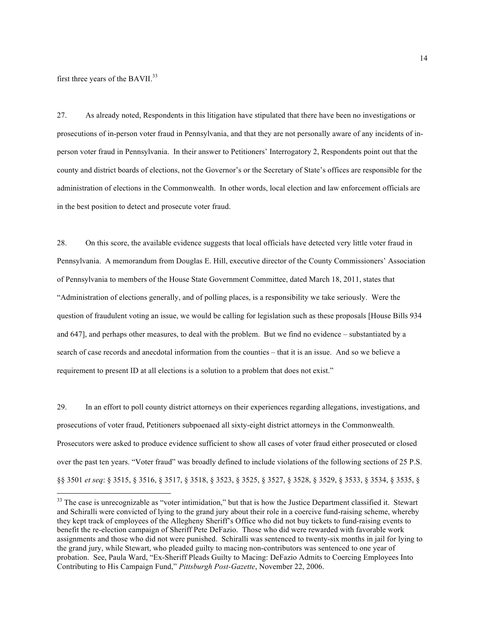first three years of the BAVII.<sup>33</sup>

27. As already noted, Respondents in this litigation have stipulated that there have been no investigations or prosecutions of in-person voter fraud in Pennsylvania, and that they are not personally aware of any incidents of inperson voter fraud in Pennsylvania. In their answer to Petitioners' Interrogatory 2, Respondents point out that the county and district boards of elections, not the Governor's or the Secretary of State's offices are responsible for the administration of elections in the Commonwealth. In other words, local election and law enforcement officials are in the best position to detect and prosecute voter fraud.

28. On this score, the available evidence suggests that local officials have detected very little voter fraud in Pennsylvania. A memorandum from Douglas E. Hill, executive director of the County Commissioners' Association of Pennsylvania to members of the House State Government Committee, dated March 18, 2011, states that "Administration of elections generally, and of polling places, is a responsibility we take seriously. Were the question of fraudulent voting an issue, we would be calling for legislation such as these proposals [House Bills 934 and 647], and perhaps other measures, to deal with the problem. But we find no evidence – substantiated by a search of case records and anecdotal information from the counties – that it is an issue. And so we believe a requirement to present ID at all elections is a solution to a problem that does not exist."

29. In an effort to poll county district attorneys on their experiences regarding allegations, investigations, and prosecutions of voter fraud, Petitioners subpoenaed all sixty-eight district attorneys in the Commonwealth. Prosecutors were asked to produce evidence sufficient to show all cases of voter fraud either prosecuted or closed over the past ten years. "Voter fraud" was broadly defined to include violations of the following sections of 25 P.S. §§ 3501 *et seq*: § 3515, § 3516, § 3517, § 3518, § 3523, § 3525, § 3527, § 3528, § 3529, § 3533, § 3534, § 3535, §

<sup>&</sup>lt;sup>33</sup> The case is unrecognizable as "voter intimidation," but that is how the Justice Department classified it. Stewart and Schiralli were convicted of lying to the grand jury about their role in a coercive fund-raising scheme, whereby they kept track of employees of the Allegheny Sheriff's Office who did not buy tickets to fund-raising events to benefit the re-election campaign of Sheriff Pete DeFazio. Those who did were rewarded with favorable work assignments and those who did not were punished. Schiralli was sentenced to twenty-six months in jail for lying to the grand jury, while Stewart, who pleaded guilty to macing non-contributors was sentenced to one year of probation. See, Paula Ward, "Ex-Sheriff Pleads Guilty to Macing: DeFazio Admits to Coercing Employees Into Contributing to His Campaign Fund," *Pittsburgh Post-Gazette*, November 22, 2006.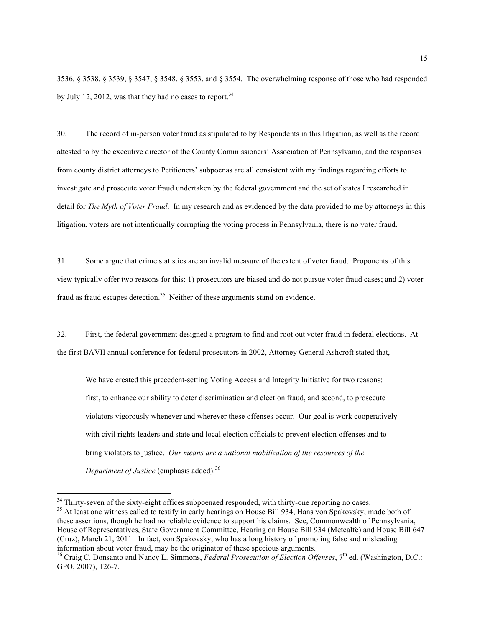3536, § 3538, § 3539, § 3547, § 3548, § 3553, and § 3554. The overwhelming response of those who had responded by July 12, 2012, was that they had no cases to report.  $34$ 

30. The record of in-person voter fraud as stipulated to by Respondents in this litigation, as well as the record attested to by the executive director of the County Commissioners' Association of Pennsylvania, and the responses from county district attorneys to Petitioners' subpoenas are all consistent with my findings regarding efforts to investigate and prosecute voter fraud undertaken by the federal government and the set of states I researched in detail for *The Myth of Voter Fraud*. In my research and as evidenced by the data provided to me by attorneys in this litigation, voters are not intentionally corrupting the voting process in Pennsylvania, there is no voter fraud.

31. Some argue that crime statistics are an invalid measure of the extent of voter fraud. Proponents of this view typically offer two reasons for this: 1) prosecutors are biased and do not pursue voter fraud cases; and 2) voter fraud as fraud escapes detection.<sup>35</sup> Neither of these arguments stand on evidence.

32. First, the federal government designed a program to find and root out voter fraud in federal elections. At the first BAVII annual conference for federal prosecutors in 2002, Attorney General Ashcroft stated that,

We have created this precedent-setting Voting Access and Integrity Initiative for two reasons: first, to enhance our ability to deter discrimination and election fraud, and second, to prosecute violators vigorously whenever and wherever these offenses occur. Our goal is work cooperatively with civil rights leaders and state and local election officials to prevent election offenses and to bring violators to justice. *Our means are a national mobilization of the resources of the Department of Justice* (emphasis added).<sup>36</sup>

 $34$  Thirty-seven of the sixty-eight offices subpoenaed responded, with thirty-one reporting no cases.<br> $35$  At least one witness called to testify in early hearings on House Bill 934, Hans von Spakovsky, made both of these assertions, though he had no reliable evidence to support his claims. See, Commonwealth of Pennsylvania, House of Representatives, State Government Committee, Hearing on House Bill 934 (Metcalfe) and House Bill 647 (Cruz), March 21, 2011. In fact, von Spakovsky, who has a long history of promoting false and misleading information about voter fraud, may be the originator of these specious arguments.

<sup>&</sup>lt;sup>36</sup> Craig C. Donsanto and Nancy L. Simmons, *Federal Prosecution of Election Offenses*, 7<sup>th</sup> ed. (Washington, D.C.: GPO, 2007), 126-7.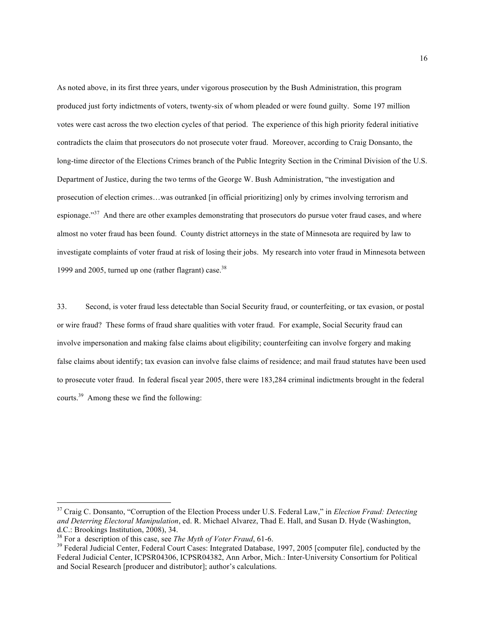As noted above, in its first three years, under vigorous prosecution by the Bush Administration, this program produced just forty indictments of voters, twenty-six of whom pleaded or were found guilty. Some 197 million votes were cast across the two election cycles of that period. The experience of this high priority federal initiative contradicts the claim that prosecutors do not prosecute voter fraud. Moreover, according to Craig Donsanto, the long-time director of the Elections Crimes branch of the Public Integrity Section in the Criminal Division of the U.S. Department of Justice, during the two terms of the George W. Bush Administration, "the investigation and prosecution of election crimes…was outranked [in official prioritizing] only by crimes involving terrorism and espionage."<sup>37</sup> And there are other examples demonstrating that prosecutors do pursue voter fraud cases, and where almost no voter fraud has been found. County district attorneys in the state of Minnesota are required by law to investigate complaints of voter fraud at risk of losing their jobs. My research into voter fraud in Minnesota between 1999 and 2005, turned up one (rather flagrant) case. $38$ 

33. Second, is voter fraud less detectable than Social Security fraud, or counterfeiting, or tax evasion, or postal or wire fraud? These forms of fraud share qualities with voter fraud. For example, Social Security fraud can involve impersonation and making false claims about eligibility; counterfeiting can involve forgery and making false claims about identify; tax evasion can involve false claims of residence; and mail fraud statutes have been used to prosecute voter fraud. In federal fiscal year 2005, there were 183,284 criminal indictments brought in the federal courts.39 Among these we find the following:

 <sup>37</sup> Craig C. Donsanto, "Corruption of the Election Process under U.S. Federal Law," in *Election Fraud: Detecting and Deterring Electoral Manipulation*, ed. R. Michael Alvarez, Thad E. Hall, and Susan D. Hyde (Washington, d.C.: Brookings Institution, 2008), 34.<br><sup>38</sup> For a description of this case, see *The Myth of Voter Fraud*, 61-6.

<sup>&</sup>lt;sup>39</sup> Federal Judicial Center, Federal Court Cases: Integrated Database, 1997, 2005 [computer file], conducted by the Federal Judicial Center, ICPSR04306, ICPSR04382, Ann Arbor, Mich.: Inter-University Consortium for Political and Social Research [producer and distributor]; author's calculations.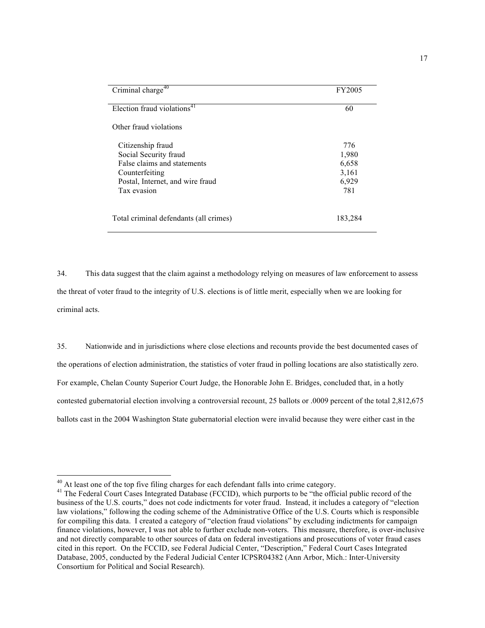| Criminal charge <sup>40</sup>           | FY2005  |
|-----------------------------------------|---------|
| Election fraud violations <sup>41</sup> | 60      |
| Other fraud violations                  |         |
| Citizenship fraud                       | 776     |
| Social Security fraud                   | 1,980   |
| False claims and statements             | 6,658   |
| Counterfeiting                          | 3,161   |
| Postal, Internet, and wire fraud        | 6,929   |
| Tax evasion                             | 781     |
| Total criminal defendants (all crimes)  | 183,284 |

34. This data suggest that the claim against a methodology relying on measures of law enforcement to assess the threat of voter fraud to the integrity of U.S. elections is of little merit, especially when we are looking for criminal acts.

35. Nationwide and in jurisdictions where close elections and recounts provide the best documented cases of the operations of election administration, the statistics of voter fraud in polling locations are also statistically zero. For example, Chelan County Superior Court Judge, the Honorable John E. Bridges, concluded that, in a hotly contested gubernatorial election involving a controversial recount, 25 ballots or .0009 percent of the total 2,812,675 ballots cast in the 2004 Washington State gubernatorial election were invalid because they were either cast in the

<sup>&</sup>lt;sup>40</sup> At least one of the top five filing charges for each defendant falls into crime category.<br><sup>41</sup> The Federal Court Cases Integrated Database (FCCID), which purports to be "the official public record of the business of the U.S. courts," does not code indictments for voter fraud. Instead, it includes a category of "election law violations," following the coding scheme of the Administrative Office of the U.S. Courts which is responsible for compiling this data. I created a category of "election fraud violations" by excluding indictments for campaign finance violations, however, I was not able to further exclude non-voters. This measure, therefore, is over-inclusive and not directly comparable to other sources of data on federal investigations and prosecutions of voter fraud cases cited in this report. On the FCCID, see Federal Judicial Center, "Description," Federal Court Cases Integrated Database, 2005, conducted by the Federal Judicial Center ICPSR04382 (Ann Arbor, Mich.: Inter-University Consortium for Political and Social Research).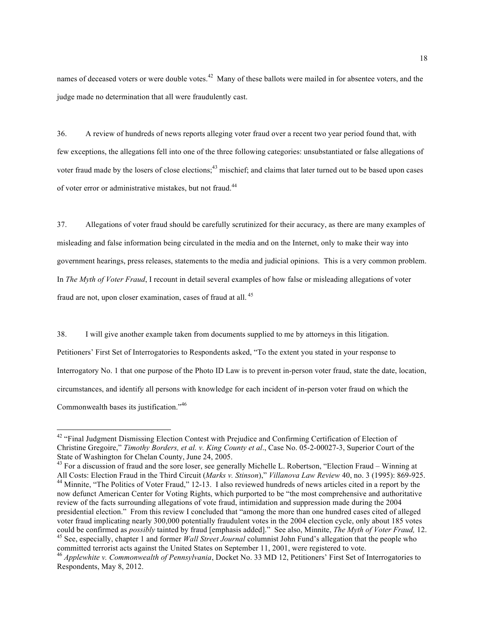names of deceased voters or were double votes.<sup>42</sup> Many of these ballots were mailed in for absentee voters, and the judge made no determination that all were fraudulently cast.

36. A review of hundreds of news reports alleging voter fraud over a recent two year period found that, with few exceptions, the allegations fell into one of the three following categories: unsubstantiated or false allegations of voter fraud made by the losers of close elections;<sup>43</sup> mischief; and claims that later turned out to be based upon cases of voter error or administrative mistakes, but not fraud.<sup>44</sup>

37. Allegations of voter fraud should be carefully scrutinized for their accuracy, as there are many examples of misleading and false information being circulated in the media and on the Internet, only to make their way into government hearings, press releases, statements to the media and judicial opinions. This is a very common problem. In *The Myth of Voter Fraud*, I recount in detail several examples of how false or misleading allegations of voter fraud are not, upon closer examination, cases of fraud at all. <sup>45</sup>

38. I will give another example taken from documents supplied to me by attorneys in this litigation. Petitioners' First Set of Interrogatories to Respondents asked, "To the extent you stated in your response to Interrogatory No. 1 that one purpose of the Photo ID Law is to prevent in-person voter fraud, state the date, location, circumstances, and identify all persons with knowledge for each incident of in-person voter fraud on which the Commonwealth bases its justification."<sup>46</sup>

<sup>&</sup>lt;sup>42</sup> "Final Judgment Dismissing Election Contest with Prejudice and Confirming Certification of Election of Christine Gregoire," *Timothy Borders, et al. v. King County et al*., Case No. 05-2-00027-3, Superior Court of the State of Washington for Chelan County, June 24, 2005.<br><sup>43</sup> For a discussion of fraud and the sore loser, see generally Michelle L. Robertson, "Election Fraud – Winning at

All Costs: Election Fraud in the Third Circuit (Marks v. Stinson)," Villanova Law Review 40, no. 3 (1995): 869-925.<br><sup>44</sup> Minnite, "The Politics of Voter Fraud," 12-13. I also reviewed hundreds of news articles cited in a r now defunct American Center for Voting Rights, which purported to be "the most comprehensive and authoritative review of the facts surrounding allegations of vote fraud, intimidation and suppression made during the 2004 presidential election." From this review I concluded that "among the more than one hundred cases cited of alleged voter fraud implicating nearly 300,000 potentially fraudulent votes in the 2004 election cycle, only about 185 votes could be confirmed as *possibly* tainted by fraud [emphasis added]." See also, Minnite, *The Myth of Vote* <sup>45</sup> See, especially, chapter 1 and former *Wall Street Journal* columnist John Fund's allegation that the people who committed terrorist acts against the United States on September 11, 2001, were registered to vote.

<sup>46</sup> *Applewhite v. Commonwealth of Pennsylvania*, Docket No. 33 MD 12, Petitioners' First Set of Interrogatories to Respondents, May 8, 2012.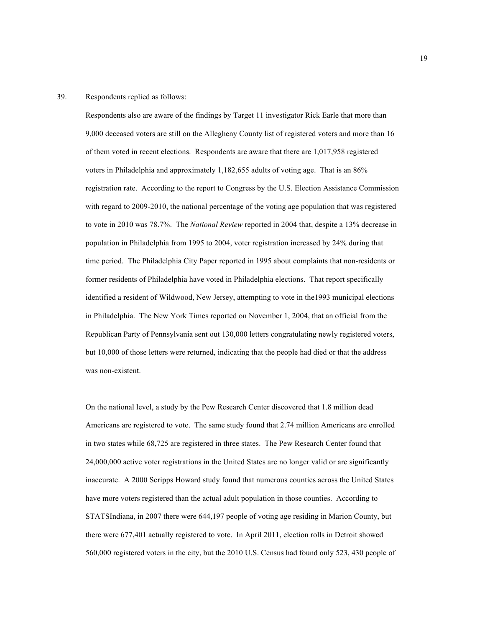## 39. Respondents replied as follows:

Respondents also are aware of the findings by Target 11 investigator Rick Earle that more than 9,000 deceased voters are still on the Allegheny County list of registered voters and more than 16 of them voted in recent elections. Respondents are aware that there are 1,017,958 registered voters in Philadelphia and approximately 1,182,655 adults of voting age. That is an 86% registration rate. According to the report to Congress by the U.S. Election Assistance Commission with regard to 2009-2010, the national percentage of the voting age population that was registered to vote in 2010 was 78.7%. The *National Review* reported in 2004 that, despite a 13% decrease in population in Philadelphia from 1995 to 2004, voter registration increased by 24% during that time period. The Philadelphia City Paper reported in 1995 about complaints that non-residents or former residents of Philadelphia have voted in Philadelphia elections. That report specifically identified a resident of Wildwood, New Jersey, attempting to vote in the1993 municipal elections in Philadelphia. The New York Times reported on November 1, 2004, that an official from the Republican Party of Pennsylvania sent out 130,000 letters congratulating newly registered voters, but 10,000 of those letters were returned, indicating that the people had died or that the address was non-existent.

On the national level, a study by the Pew Research Center discovered that 1.8 million dead Americans are registered to vote. The same study found that 2.74 million Americans are enrolled in two states while 68,725 are registered in three states. The Pew Research Center found that 24,000,000 active voter registrations in the United States are no longer valid or are significantly inaccurate. A 2000 Scripps Howard study found that numerous counties across the United States have more voters registered than the actual adult population in those counties. According to STATSIndiana, in 2007 there were 644,197 people of voting age residing in Marion County, but there were 677,401 actually registered to vote. In April 2011, election rolls in Detroit showed 560,000 registered voters in the city, but the 2010 U.S. Census had found only 523, 430 people of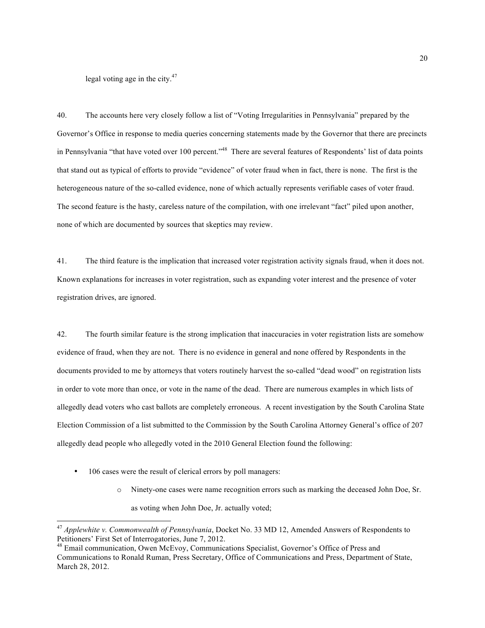legal voting age in the city.<sup>47</sup>

40. The accounts here very closely follow a list of "Voting Irregularities in Pennsylvania" prepared by the Governor's Office in response to media queries concerning statements made by the Governor that there are precincts in Pennsylvania "that have voted over 100 percent."<sup>48</sup> There are several features of Respondents' list of data points that stand out as typical of efforts to provide "evidence" of voter fraud when in fact, there is none. The first is the heterogeneous nature of the so-called evidence, none of which actually represents verifiable cases of voter fraud. The second feature is the hasty, careless nature of the compilation, with one irrelevant "fact" piled upon another, none of which are documented by sources that skeptics may review.

41. The third feature is the implication that increased voter registration activity signals fraud, when it does not. Known explanations for increases in voter registration, such as expanding voter interest and the presence of voter registration drives, are ignored.

42. The fourth similar feature is the strong implication that inaccuracies in voter registration lists are somehow evidence of fraud, when they are not. There is no evidence in general and none offered by Respondents in the documents provided to me by attorneys that voters routinely harvest the so-called "dead wood" on registration lists in order to vote more than once, or vote in the name of the dead. There are numerous examples in which lists of allegedly dead voters who cast ballots are completely erroneous. A recent investigation by the South Carolina State Election Commission of a list submitted to the Commission by the South Carolina Attorney General's office of 207 allegedly dead people who allegedly voted in the 2010 General Election found the following:

- 106 cases were the result of clerical errors by poll managers:
	- o Ninety-one cases were name recognition errors such as marking the deceased John Doe, Sr. as voting when John Doe, Jr. actually voted;

 <sup>47</sup> *Applewhite v. Commonwealth of Pennsylvania*, Docket No. 33 MD 12, Amended Answers of Respondents to Petitioners' First Set of Interrogatories, June 7, 2012.

<sup>&</sup>lt;sup>48</sup> Email communication, Owen McEvoy, Communications Specialist, Governor's Office of Press and Communications to Ronald Ruman, Press Secretary, Office of Communications and Press, Department of State, March 28, 2012.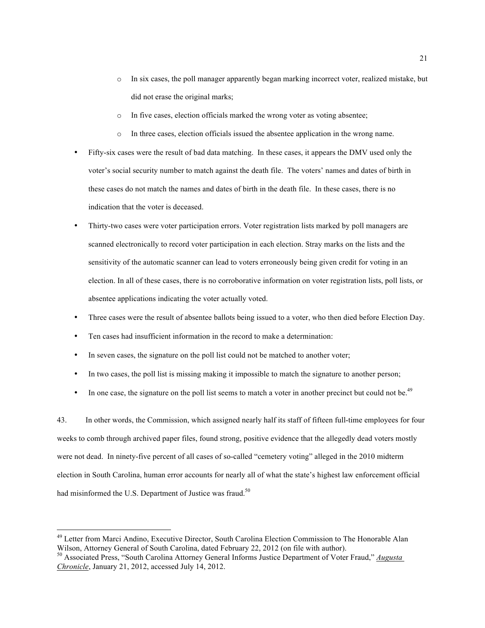- o In six cases, the poll manager apparently began marking incorrect voter, realized mistake, but did not erase the original marks;
- o In five cases, election officials marked the wrong voter as voting absentee;
- o In three cases, election officials issued the absentee application in the wrong name.
- Fifty-six cases were the result of bad data matching. In these cases, it appears the DMV used only the voter's social security number to match against the death file. The voters' names and dates of birth in these cases do not match the names and dates of birth in the death file. In these cases, there is no indication that the voter is deceased.
- Thirty-two cases were voter participation errors. Voter registration lists marked by poll managers are scanned electronically to record voter participation in each election. Stray marks on the lists and the sensitivity of the automatic scanner can lead to voters erroneously being given credit for voting in an election. In all of these cases, there is no corroborative information on voter registration lists, poll lists, or absentee applications indicating the voter actually voted.
- Three cases were the result of absentee ballots being issued to a voter, who then died before Election Day.
- Ten cases had insufficient information in the record to make a determination:
- In seven cases, the signature on the poll list could not be matched to another voter;
- In two cases, the poll list is missing making it impossible to match the signature to another person;
- In one case, the signature on the poll list seems to match a voter in another precinct but could not be.<sup>49</sup>

43. In other words, the Commission, which assigned nearly half its staff of fifteen full-time employees for four weeks to comb through archived paper files, found strong, positive evidence that the allegedly dead voters mostly were not dead. In ninety-five percent of all cases of so-called "cemetery voting" alleged in the 2010 midterm election in South Carolina, human error accounts for nearly all of what the state's highest law enforcement official had misinformed the U.S. Department of Justice was fraud.<sup>50</sup>

 $49$  Letter from Marci Andino, Executive Director, South Carolina Election Commission to The Honorable Alan Wilson, Attorney General of South Carolina, dated February 22, 2012 (on file with author).

<sup>&</sup>lt;sup>50</sup> Associated Press, "South Carolina Attorney General Informs Justice Department of Voter Fraud," *Augusta Chronicle*, January 21, 2012, accessed July 14, 2012.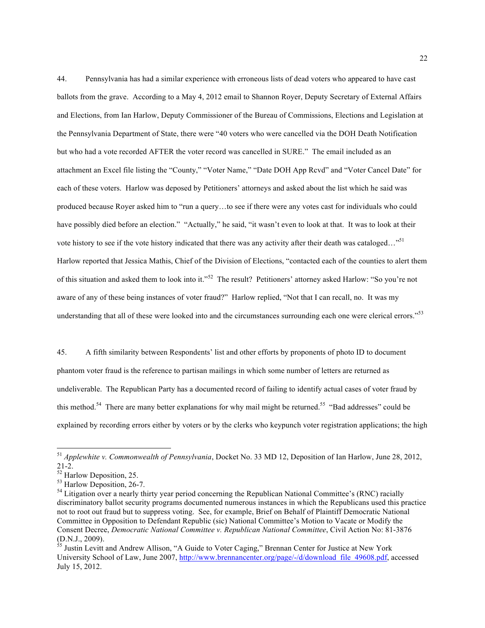44. Pennsylvania has had a similar experience with erroneous lists of dead voters who appeared to have cast ballots from the grave. According to a May 4, 2012 email to Shannon Royer, Deputy Secretary of External Affairs and Elections, from Ian Harlow, Deputy Commissioner of the Bureau of Commissions, Elections and Legislation at the Pennsylvania Department of State, there were "40 voters who were cancelled via the DOH Death Notification but who had a vote recorded AFTER the voter record was cancelled in SURE." The email included as an attachment an Excel file listing the "County," "Voter Name," "Date DOH App Rcvd" and "Voter Cancel Date" for each of these voters. Harlow was deposed by Petitioners' attorneys and asked about the list which he said was produced because Royer asked him to "run a query…to see if there were any votes cast for individuals who could have possibly died before an election." "Actually," he said, "it wasn't even to look at that. It was to look at their vote history to see if the vote history indicated that there was any activity after their death was cataloged..."<sup>51</sup> Harlow reported that Jessica Mathis, Chief of the Division of Elections, "contacted each of the counties to alert them of this situation and asked them to look into it."52 The result? Petitioners' attorney asked Harlow: "So you're not aware of any of these being instances of voter fraud?" Harlow replied, "Not that I can recall, no. It was my understanding that all of these were looked into and the circumstances surrounding each one were clerical errors."<sup>53</sup>

45. A fifth similarity between Respondents' list and other efforts by proponents of photo ID to document phantom voter fraud is the reference to partisan mailings in which some number of letters are returned as undeliverable. The Republican Party has a documented record of failing to identify actual cases of voter fraud by this method.<sup>54</sup> There are many better explanations for why mail might be returned.<sup>55</sup> "Bad addresses" could be explained by recording errors either by voters or by the clerks who keypunch voter registration applications; the high

 <sup>51</sup> *Applewhite v. Commonwealth of Pennsylvania*, Docket No. 33 MD 12, Deposition of Ian Harlow, June 28, 2012,

<sup>&</sup>lt;sup>52</sup> Harlow Deposition, 25.<br><sup>53</sup> Harlow Deposition, 26-7.<br><sup>54</sup> Litigation over a nearly thirty year period concerning the Republican National Committee's (RNC) racially discriminatory ballot security programs documented numerous instances in which the Republicans used this practice not to root out fraud but to suppress voting. See, for example, Brief on Behalf of Plaintiff Democratic National Committee in Opposition to Defendant Republic (sic) National Committee's Motion to Vacate or Modify the Consent Decree, *Democratic National Committee v. Republican National Committee*, Civil Action No: 81-3876 (D.N.J., 2009).

<sup>&</sup>lt;sup>55</sup> Justin Levitt and Andrew Allison, "A Guide to Voter Caging," Brennan Center for Justice at New York University School of Law, June 2007, http://www.brennancenter.org/page/-/d/download\_file\_49608.pdf, accessed July 15, 2012.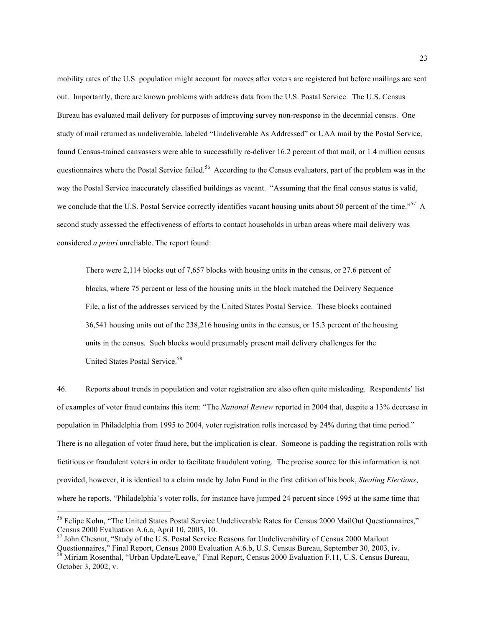mobility rates of the U.S. population might account for moves after voters are registered but before mailings are sent out. Importantly, there are known problems with address data from the U.S. Postal Service. The U.S. Census Bureau has evaluated mail delivery for purposes of improving survey non-response in the decennial census. One study of mail returned as undeliverable, labeled "Undeliverable As Addressed" or UAA mail by the Postal Service, found Census-trained canvassers were able to successfully re-deliver 16.2 percent of that mail, or 1.4 million census questionnaires where the Postal Service failed.<sup>56</sup> According to the Census evaluators, part of the problem was in the way the Postal Service inaccurately classified buildings as vacant. "Assuming that the final census status is valid, we conclude that the U.S. Postal Service correctly identifies vacant housing units about 50 percent of the time."<sup>57</sup> A second study assessed the effectiveness of efforts to contact households in urban areas where mail delivery was considered *a priori* unreliable. The report found:

There were 2,114 blocks out of 7,657 blocks with housing units in the census, or 27.6 percent of blocks, where 75 percent or less of the housing units in the block matched the Delivery Sequence File, a list of the addresses serviced by the United States Postal Service. These blocks contained 36,541 housing units out of the 238,216 housing units in the census, or 15.3 percent of the housing units in the census. Such blocks would presumably present mail delivery challenges for the United States Postal Service.<sup>58</sup>

46. Reports about trends in population and voter registration are also often quite misleading. Respondents' list of examples of voter fraud contains this item: "The *National Review* reported in 2004 that, despite a 13% decrease in population in Philadelphia from 1995 to 2004, voter registration rolls increased by 24% during that time period." There is no allegation of voter fraud here, but the implication is clear. Someone is padding the registration rolls with fictitious or fraudulent voters in order to facilitate fraudulent voting. The precise source for this information is not provided, however, it is identical to a claim made by John Fund in the first edition of his book, *Stealing Elections*, where he reports, "Philadelphia's voter rolls, for instance have jumped 24 percent since 1995 at the same time that

<sup>&</sup>lt;sup>56</sup> Felipe Kohn, "The United States Postal Service Undeliverable Rates for Census 2000 MailOut Questionnaires," Census 2000 Evaluation A.6.a, April 10, 2003, 10.

<sup>&</sup>lt;sup>57</sup> John Chesnut, "Study of the U.S. Postal Service Reasons for Undeliverability of Census 2000 Mailout Questionnaires," Final Report, Census 2000 Evaluation A.6.b, U.S. Census Bureau, September 30, 2003, iv. <sup>58</sup> Miriam Rosenthal, "Urban Update/Leave," Final Report, Census 2000 Evaluation F.11, U.S. Census Bureau,

October 3, 2002, v.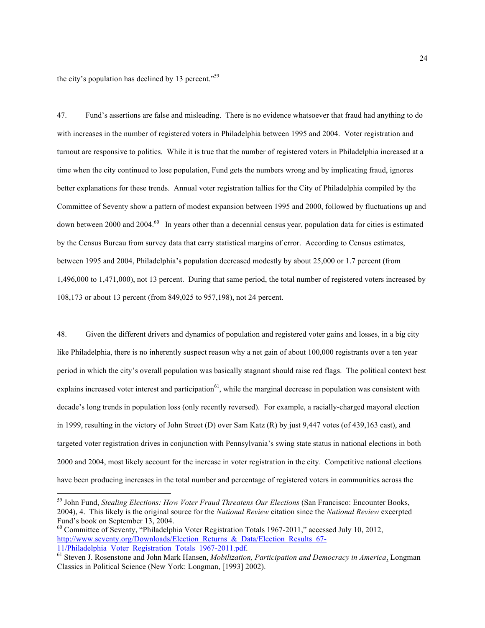the city's population has declined by 13 percent."59

47. Fund's assertions are false and misleading. There is no evidence whatsoever that fraud had anything to do with increases in the number of registered voters in Philadelphia between 1995 and 2004. Voter registration and turnout are responsive to politics. While it is true that the number of registered voters in Philadelphia increased at a time when the city continued to lose population, Fund gets the numbers wrong and by implicating fraud, ignores better explanations for these trends. Annual voter registration tallies for the City of Philadelphia compiled by the Committee of Seventy show a pattern of modest expansion between 1995 and 2000, followed by fluctuations up and down between 2000 and 2004.<sup>60</sup> In years other than a decennial census year, population data for cities is estimated by the Census Bureau from survey data that carry statistical margins of error. According to Census estimates, between 1995 and 2004, Philadelphia's population decreased modestly by about 25,000 or 1.7 percent (from 1,496,000 to 1,471,000), not 13 percent. During that same period, the total number of registered voters increased by 108,173 or about 13 percent (from 849,025 to 957,198), not 24 percent.

48. Given the different drivers and dynamics of population and registered voter gains and losses, in a big city like Philadelphia, there is no inherently suspect reason why a net gain of about 100,000 registrants over a ten year period in which the city's overall population was basically stagnant should raise red flags. The political context best explains increased voter interest and participation $^{61}$ , while the marginal decrease in population was consistent with decade's long trends in population loss (only recently reversed). For example, a racially-charged mayoral election in 1999, resulting in the victory of John Street (D) over Sam Katz (R) by just 9,447 votes (of 439,163 cast), and targeted voter registration drives in conjunction with Pennsylvania's swing state status in national elections in both 2000 and 2004, most likely account for the increase in voter registration in the city. Competitive national elections have been producing increases in the total number and percentage of registered voters in communities across the

 <sup>59</sup> John Fund, *Stealing Elections: How Voter Fraud Threatens Our Elections* (San Francisco: Encounter Books, 2004), 4. This likely is the original source for the *National Review* citation since the *National Review* excerpted Fund's book on September 13, 2004.

<sup>60</sup> Committee of Seventy, "Philadelphia Voter Registration Totals 1967-2011," accessed July 10, 2012, http://www.seventy.org/Downloads/Election\_Returns\_&\_Data/Election\_Results\_67-<br>11/Philadelphia\_Voter\_Registration\_Totals\_1967-2011.pdf.

<sup>&</sup>lt;sup>61</sup> Steven J. Rosenstone and John Mark Hansen, *Mobilization, Participation and Democracy in America*, Longman Classics in Political Science (New York: Longman, [1993] 2002).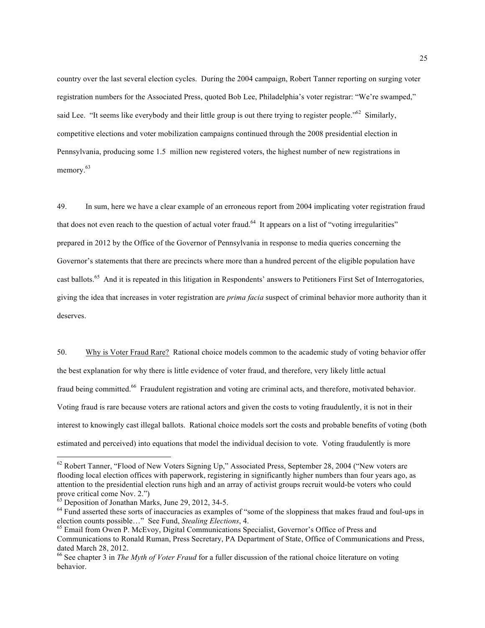country over the last several election cycles. During the 2004 campaign, Robert Tanner reporting on surging voter registration numbers for the Associated Press, quoted Bob Lee, Philadelphia's voter registrar: "We're swamped," said Lee. "It seems like everybody and their little group is out there trying to register people."<sup>62</sup> Similarly, competitive elections and voter mobilization campaigns continued through the 2008 presidential election in Pennsylvania, producing some 1.5 million new registered voters, the highest number of new registrations in memory.<sup>63</sup>

49. In sum, here we have a clear example of an erroneous report from 2004 implicating voter registration fraud that does not even reach to the question of actual voter fraud.<sup>64</sup> It appears on a list of "voting irregularities" prepared in 2012 by the Office of the Governor of Pennsylvania in response to media queries concerning the Governor's statements that there are precincts where more than a hundred percent of the eligible population have cast ballots.65 And it is repeated in this litigation in Respondents' answers to Petitioners First Set of Interrogatories, giving the idea that increases in voter registration are *prima facia* suspect of criminal behavior more authority than it deserves.

50. Why is Voter Fraud Rare? Rational choice models common to the academic study of voting behavior offer the best explanation for why there is little evidence of voter fraud, and therefore, very likely little actual fraud being committed.<sup>66</sup> Fraudulent registration and voting are criminal acts, and therefore, motivated behavior. Voting fraud is rare because voters are rational actors and given the costs to voting fraudulently, it is not in their interest to knowingly cast illegal ballots. Rational choice models sort the costs and probable benefits of voting (both estimated and perceived) into equations that model the individual decision to vote. Voting fraudulently is more

<sup>&</sup>lt;sup>62</sup> Robert Tanner, "Flood of New Voters Signing Up," Associated Press, September 28, 2004 ("New voters are flooding local election offices with paperwork, registering in significantly higher numbers than four years ago, as attention to the presidential election runs high and an array of activist groups recruit would-be voters who could prove critical come Nov. 2.")<br><sup>63</sup> Deposition of Jonathan Marks, June 29, 2012, 34-5.

 $64$  Fund asserted these sorts of inaccuracies as examples of "some of the sloppiness that makes fraud and foul-ups in election counts possible..." See Fund, *Stealing Elections*, 4.

<sup>&</sup>lt;sup>65</sup> Email from Owen P. McEvoy, Digital Communications Specialist, Governor's Office of Press and Communications to Ronald Ruman, Press Secretary, PA Department of State, Office of Communications and Press, dated March 28, 2012.

<sup>66</sup> See chapter 3 in *The Myth of Voter Fraud* for a fuller discussion of the rational choice literature on voting behavior.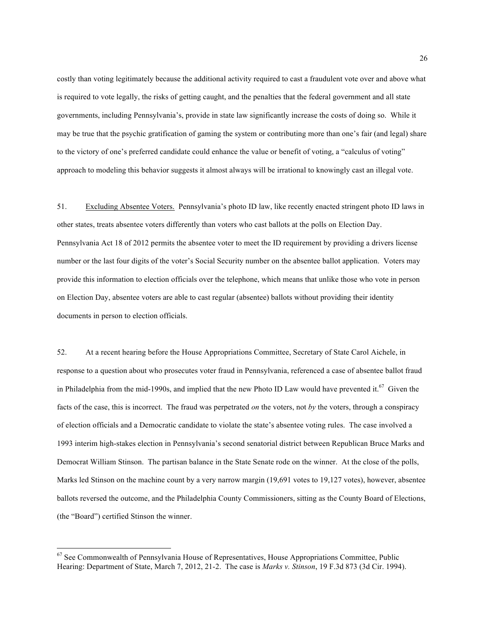costly than voting legitimately because the additional activity required to cast a fraudulent vote over and above what is required to vote legally, the risks of getting caught, and the penalties that the federal government and all state governments, including Pennsylvania's, provide in state law significantly increase the costs of doing so. While it may be true that the psychic gratification of gaming the system or contributing more than one's fair (and legal) share to the victory of one's preferred candidate could enhance the value or benefit of voting, a "calculus of voting" approach to modeling this behavior suggests it almost always will be irrational to knowingly cast an illegal vote.

51. Excluding Absentee Voters. Pennsylvania's photo ID law, like recently enacted stringent photo ID laws in other states, treats absentee voters differently than voters who cast ballots at the polls on Election Day. Pennsylvania Act 18 of 2012 permits the absentee voter to meet the ID requirement by providing a drivers license number or the last four digits of the voter's Social Security number on the absentee ballot application. Voters may provide this information to election officials over the telephone, which means that unlike those who vote in person on Election Day, absentee voters are able to cast regular (absentee) ballots without providing their identity documents in person to election officials.

52. At a recent hearing before the House Appropriations Committee, Secretary of State Carol Aichele, in response to a question about who prosecutes voter fraud in Pennsylvania, referenced a case of absentee ballot fraud in Philadelphia from the mid-1990s, and implied that the new Photo ID Law would have prevented it.<sup>67</sup> Given the facts of the case, this is incorrect. The fraud was perpetrated *on* the voters, not *by* the voters, through a conspiracy of election officials and a Democratic candidate to violate the state's absentee voting rules. The case involved a 1993 interim high-stakes election in Pennsylvania's second senatorial district between Republican Bruce Marks and Democrat William Stinson. The partisan balance in the State Senate rode on the winner. At the close of the polls, Marks led Stinson on the machine count by a very narrow margin (19,691 votes to 19,127 votes), however, absentee ballots reversed the outcome, and the Philadelphia County Commissioners, sitting as the County Board of Elections, (the "Board") certified Stinson the winner.

<sup>&</sup>lt;sup>67</sup> See Commonwealth of Pennsylvania House of Representatives, House Appropriations Committee, Public Hearing: Department of State, March 7, 2012, 21-2. The case is *Marks v. Stinson*, 19 F.3d 873 (3d Cir. 1994).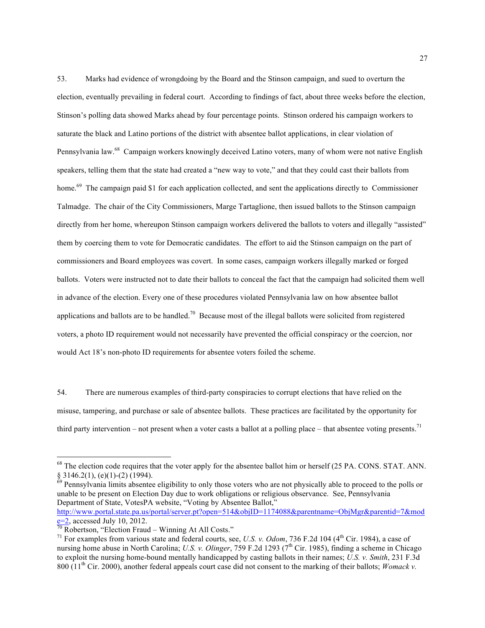53. Marks had evidence of wrongdoing by the Board and the Stinson campaign, and sued to overturn the election, eventually prevailing in federal court. According to findings of fact, about three weeks before the election, Stinson's polling data showed Marks ahead by four percentage points. Stinson ordered his campaign workers to saturate the black and Latino portions of the district with absentee ballot applications, in clear violation of Pennsylvania law.<sup>68</sup> Campaign workers knowingly deceived Latino voters, many of whom were not native English speakers, telling them that the state had created a "new way to vote," and that they could cast their ballots from home.<sup>69</sup> The campaign paid \$1 for each application collected, and sent the applications directly to Commissioner Talmadge. The chair of the City Commissioners, Marge Tartaglione, then issued ballots to the Stinson campaign directly from her home, whereupon Stinson campaign workers delivered the ballots to voters and illegally "assisted" them by coercing them to vote for Democratic candidates. The effort to aid the Stinson campaign on the part of commissioners and Board employees was covert. In some cases, campaign workers illegally marked or forged ballots. Voters were instructed not to date their ballots to conceal the fact that the campaign had solicited them well in advance of the election. Every one of these procedures violated Pennsylvania law on how absentee ballot applications and ballots are to be handled.<sup>70</sup> Because most of the illegal ballots were solicited from registered voters, a photo ID requirement would not necessarily have prevented the official conspiracy or the coercion, nor would Act 18's non-photo ID requirements for absentee voters foiled the scheme.

54. There are numerous examples of third-party conspiracies to corrupt elections that have relied on the misuse, tampering, and purchase or sale of absentee ballots. These practices are facilitated by the opportunity for third party intervention – not present when a voter casts a ballot at a polling place – that absentee voting presents.<sup>71</sup>

<sup>&</sup>lt;sup>68</sup> The election code requires that the voter apply for the absentee ballot him or herself (25 PA. CONS. STAT. ANN.

<sup>§ 3146.2(1), (</sup>e)(1)-(2) (1994).<br><sup>69</sup> Pennsylvania limits absentee eligibility to only those voters who are not physically able to proceed to the polls or unable to be present on Election Day due to work obligations or religious observance. See, Pennsylvania Department of State, VotesPA website, "Voting by Absentee Ballot,"

http://www.portal.state.pa.us/portal/server.pt?open=514&objID=1174088&parentname=ObjMgr&parentid=7&mod<br>e=2, accessed July 10, 2012.

 $\frac{1}{70}$  Robertson, "Election Fraud – Winning At All Costs."<br><sup>71</sup> For examples from various state and federal courts, see, *U.S. v. Odom*, 736 F.2d 104 (4<sup>th</sup> Cir. 1984), a case of nursing home abuse in North Carolina; *U.S. v. Olinger*, 759 F.2d 1293 (7<sup>th</sup> Cir. 1985), finding a scheme in Chicago to exploit the nursing home-bound mentally handicapped by casting ballots in their names; *U.S. v. Smith*, 231 F.3d 800 (11th Cir. 2000), another federal appeals court case did not consent to the marking of their ballots; *Womack v.*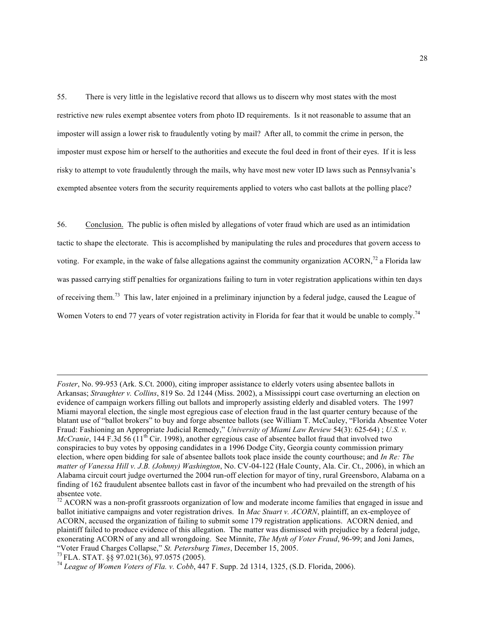55. There is very little in the legislative record that allows us to discern why most states with the most restrictive new rules exempt absentee voters from photo ID requirements. Is it not reasonable to assume that an imposter will assign a lower risk to fraudulently voting by mail? After all, to commit the crime in person, the imposter must expose him or herself to the authorities and execute the foul deed in front of their eyes. If it is less risky to attempt to vote fraudulently through the mails, why have most new voter ID laws such as Pennsylvania's exempted absentee voters from the security requirements applied to voters who cast ballots at the polling place?

56. Conclusion. The public is often misled by allegations of voter fraud which are used as an intimidation tactic to shape the electorate. This is accomplished by manipulating the rules and procedures that govern access to voting. For example, in the wake of false allegations against the community organization ACORN,<sup>72</sup> a Florida law was passed carrying stiff penalties for organizations failing to turn in voter registration applications within ten days of receiving them.73 This law, later enjoined in a preliminary injunction by a federal judge, caused the League of Women Voters to end 77 years of voter registration activity in Florida for fear that it would be unable to comply.<sup>74</sup>

 $\overline{a}$ 

*Foster*, No. 99-953 (Ark. S.Ct. 2000), citing improper assistance to elderly voters using absentee ballots in Arkansas; *Straughter v. Collins*, 819 So. 2d 1244 (Miss. 2002), a Mississippi court case overturning an election on evidence of campaign workers filling out ballots and improperly assisting elderly and disabled voters. The 1997 Miami mayoral election, the single most egregious case of election fraud in the last quarter century because of the blatant use of "ballot brokers" to buy and forge absentee ballots (see William T. McCauley, "Florida Absentee Voter Fraud: Fashioning an Appropriate Judicial Remedy," *University of Miami Law Review* 54(3): 625-64) ; *U.S. v. McCranie*, 144 F.3d 56 ( $11<sup>th</sup>$  Cir. 1998), another egregious case of absentee ballot fraud that involved two conspiracies to buy votes by opposing candidates in a 1996 Dodge City, Georgia county commission primary election, where open bidding for sale of absentee ballots took place inside the county courthouse; and *In Re: The matter of Vanessa Hill v. J.B. (Johnny) Washington*, No. CV-04-122 (Hale County, Ala. Cir. Ct., 2006), in which an Alabama circuit court judge overturned the 2004 run-off election for mayor of tiny, rural Greensboro, Alabama on a finding of 162 fraudulent absentee ballots cast in favor of the incumbent who had prevailed on the strength of his absentee vote.

 $72$  ACORN was a non-profit grassroots organization of low and moderate income families that engaged in issue and ballot initiative campaigns and voter registration drives. In *Mac Stuart v. ACORN*, plaintiff, an ex-employee of ACORN, accused the organization of failing to submit some 179 registration applications. ACORN denied, and plaintiff failed to produce evidence of this allegation. The matter was dismissed with prejudice by a federal judge, exonerating ACORN of any and all wrongdoing. See Minnite, *The Myth of Voter Fraud*, 96-99; and Joni James, "Voter Fraud Charges Collapse," *St. Petersburg Times*, December 15, 2005. 73 FLA. STAT. §§ 97.021(36), 97.0575 (2005). <sup>74</sup> *League of Women Voters of Fla. v. Cobb*, 447 F. Supp. 2d 1314, 1325, (S.D. Florida, 2006).